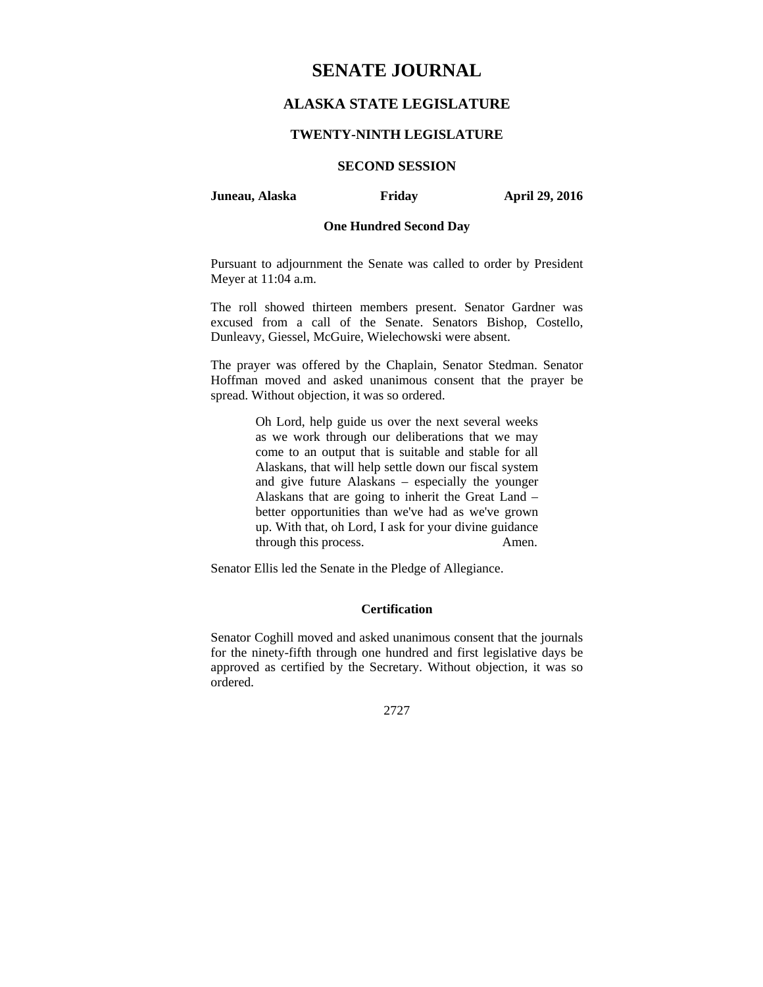# **SENATE JOURNAL**

## **ALASKA STATE LEGISLATURE**

### **TWENTY-NINTH LEGISLATURE**

### **SECOND SESSION**

### **Juneau, Alaska Friday April 29, 2016**

### **One Hundred Second Day**

Pursuant to adjournment the Senate was called to order by President Meyer at 11:04 a.m.

The roll showed thirteen members present. Senator Gardner was excused from a call of the Senate. Senators Bishop, Costello, Dunleavy, Giessel, McGuire, Wielechowski were absent.

The prayer was offered by the Chaplain, Senator Stedman. Senator Hoffman moved and asked unanimous consent that the prayer be spread. Without objection, it was so ordered.

> Oh Lord, help guide us over the next several weeks as we work through our deliberations that we may come to an output that is suitable and stable for all Alaskans, that will help settle down our fiscal system and give future Alaskans – especially the younger Alaskans that are going to inherit the Great Land – better opportunities than we've had as we've grown up. With that, oh Lord, I ask for your divine guidance through this process. Amen.

Senator Ellis led the Senate in the Pledge of Allegiance.

### **Certification**

Senator Coghill moved and asked unanimous consent that the journals for the ninety-fifth through one hundred and first legislative days be approved as certified by the Secretary. Without objection, it was so ordered.

2727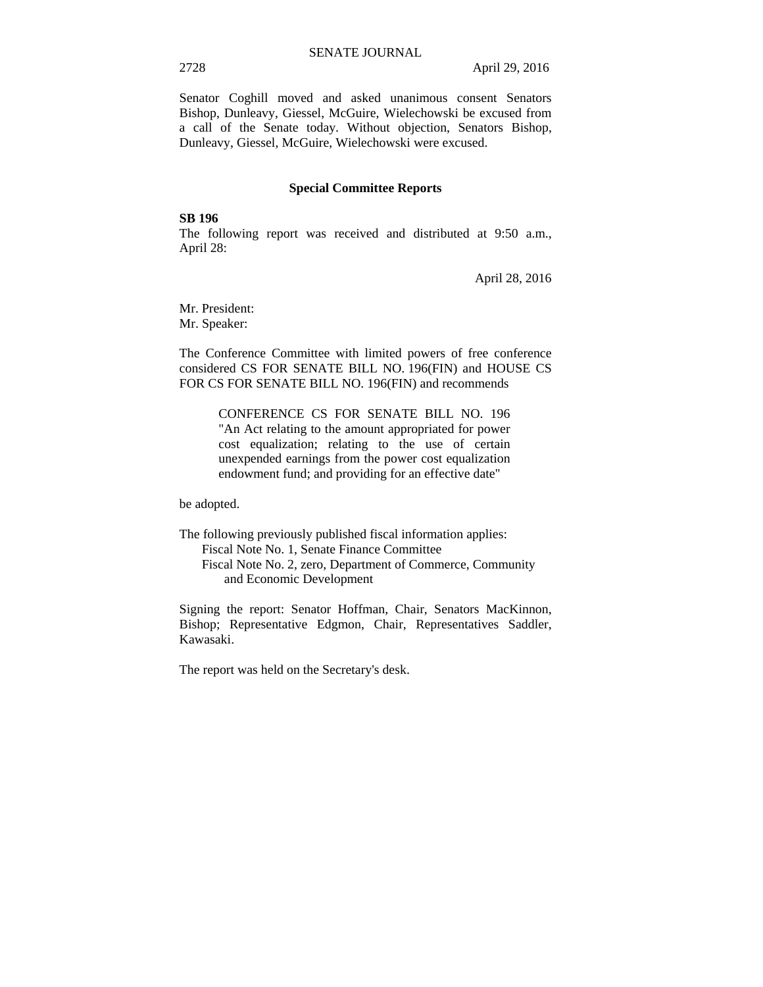Senator Coghill moved and asked unanimous consent Senators Bishop, Dunleavy, Giessel, McGuire, Wielechowski be excused from a call of the Senate today. Without objection, Senators Bishop, Dunleavy, Giessel, McGuire, Wielechowski were excused.

### **Special Committee Reports**

### **SB 196**

The following report was received and distributed at 9:50 a.m., April 28:

April 28, 2016

Mr. President: Mr. Speaker:

The Conference Committee with limited powers of free conference considered CS FOR SENATE BILL NO. 196(FIN) and HOUSE CS FOR CS FOR SENATE BILL NO. 196(FIN) and recommends

> CONFERENCE CS FOR SENATE BILL NO. 196 "An Act relating to the amount appropriated for power cost equalization; relating to the use of certain unexpended earnings from the power cost equalization endowment fund; and providing for an effective date"

be adopted.

The following previously published fiscal information applies: Fiscal Note No. 1, Senate Finance Committee Fiscal Note No. 2, zero, Department of Commerce, Community and Economic Development

Signing the report: Senator Hoffman, Chair, Senators MacKinnon, Bishop; Representative Edgmon, Chair, Representatives Saddler, Kawasaki.

The report was held on the Secretary's desk.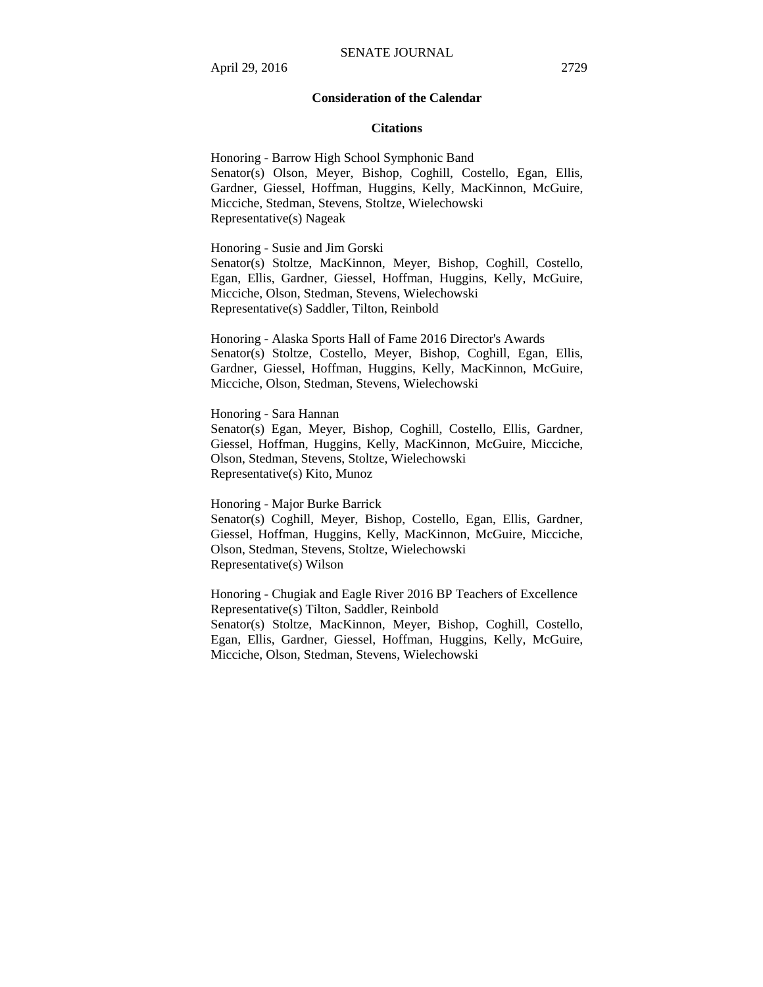### **Consideration of the Calendar**

#### **Citations**

Honoring - Barrow High School Symphonic Band Senator(s) Olson, Meyer, Bishop, Coghill, Costello, Egan, Ellis, Gardner, Giessel, Hoffman, Huggins, Kelly, MacKinnon, McGuire, Micciche, Stedman, Stevens, Stoltze, Wielechowski Representative(s) Nageak

Honoring - Susie and Jim Gorski

Senator(s) Stoltze, MacKinnon, Meyer, Bishop, Coghill, Costello, Egan, Ellis, Gardner, Giessel, Hoffman, Huggins, Kelly, McGuire, Micciche, Olson, Stedman, Stevens, Wielechowski Representative(s) Saddler, Tilton, Reinbold

Honoring - Alaska Sports Hall of Fame 2016 Director's Awards Senator(s) Stoltze, Costello, Meyer, Bishop, Coghill, Egan, Ellis, Gardner, Giessel, Hoffman, Huggins, Kelly, MacKinnon, McGuire, Micciche, Olson, Stedman, Stevens, Wielechowski

Honoring - Sara Hannan

Senator(s) Egan, Meyer, Bishop, Coghill, Costello, Ellis, Gardner, Giessel, Hoffman, Huggins, Kelly, MacKinnon, McGuire, Micciche, Olson, Stedman, Stevens, Stoltze, Wielechowski Representative(s) Kito, Munoz

Honoring - Major Burke Barrick Senator(s) Coghill, Meyer, Bishop, Costello, Egan, Ellis, Gardner, Giessel, Hoffman, Huggins, Kelly, MacKinnon, McGuire, Micciche, Olson, Stedman, Stevens, Stoltze, Wielechowski Representative(s) Wilson

Honoring - Chugiak and Eagle River 2016 BP Teachers of Excellence Representative(s) Tilton, Saddler, Reinbold Senator(s) Stoltze, MacKinnon, Meyer, Bishop, Coghill, Costello, Egan, Ellis, Gardner, Giessel, Hoffman, Huggins, Kelly, McGuire, Micciche, Olson, Stedman, Stevens, Wielechowski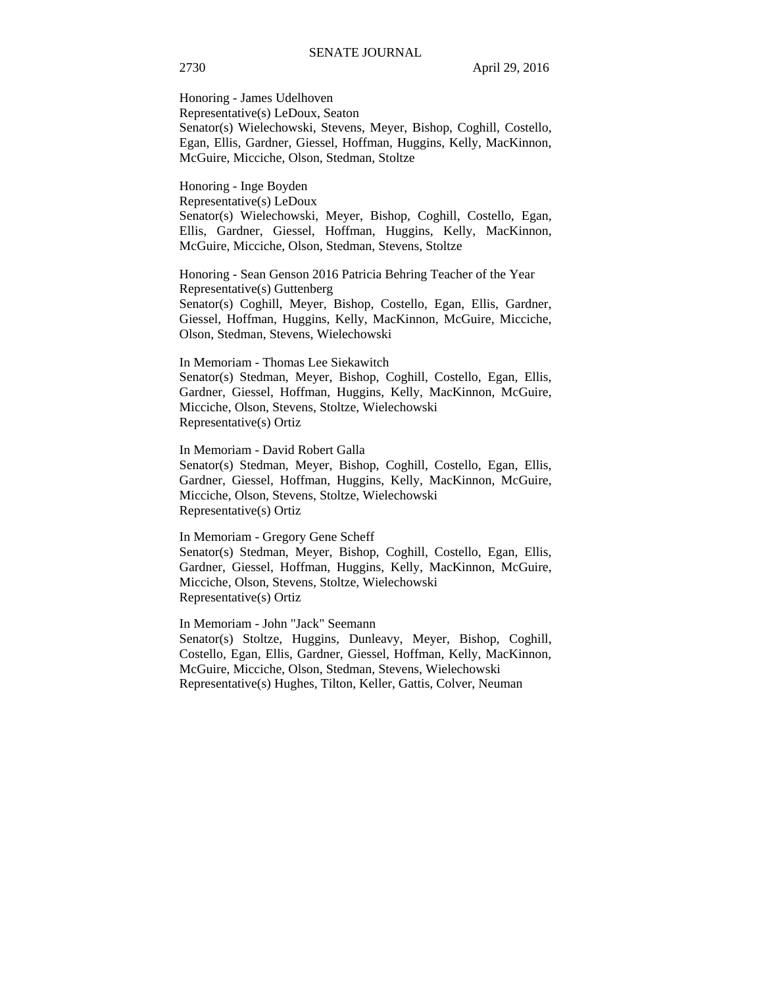Honoring - James Udelhoven Representative(s) LeDoux, Seaton Senator(s) Wielechowski, Stevens, Meyer, Bishop, Coghill, Costello, Egan, Ellis, Gardner, Giessel, Hoffman, Huggins, Kelly, MacKinnon, McGuire, Micciche, Olson, Stedman, Stoltze

Honoring - Inge Boyden Representative(s) LeDoux Senator(s) Wielechowski, Meyer, Bishop, Coghill, Costello, Egan, Ellis, Gardner, Giessel, Hoffman, Huggins, Kelly, MacKinnon, McGuire, Micciche, Olson, Stedman, Stevens, Stoltze

Honoring - Sean Genson 2016 Patricia Behring Teacher of the Year Representative(s) Guttenberg Senator(s) Coghill, Meyer, Bishop, Costello, Egan, Ellis, Gardner, Giessel, Hoffman, Huggins, Kelly, MacKinnon, McGuire, Micciche, Olson, Stedman, Stevens, Wielechowski

In Memoriam - Thomas Lee Siekawitch Senator(s) Stedman, Meyer, Bishop, Coghill, Costello, Egan, Ellis, Gardner, Giessel, Hoffman, Huggins, Kelly, MacKinnon, McGuire, Micciche, Olson, Stevens, Stoltze, Wielechowski Representative(s) Ortiz

In Memoriam - David Robert Galla Senator(s) Stedman, Meyer, Bishop, Coghill, Costello, Egan, Ellis, Gardner, Giessel, Hoffman, Huggins, Kelly, MacKinnon, McGuire, Micciche, Olson, Stevens, Stoltze, Wielechowski Representative(s) Ortiz

In Memoriam - Gregory Gene Scheff Senator(s) Stedman, Meyer, Bishop, Coghill, Costello, Egan, Ellis, Gardner, Giessel, Hoffman, Huggins, Kelly, MacKinnon, McGuire, Micciche, Olson, Stevens, Stoltze, Wielechowski Representative(s) Ortiz

In Memoriam - John "Jack" Seemann Senator(s) Stoltze, Huggins, Dunleavy, Meyer, Bishop, Coghill, Costello, Egan, Ellis, Gardner, Giessel, Hoffman, Kelly, MacKinnon, McGuire, Micciche, Olson, Stedman, Stevens, Wielechowski Representative(s) Hughes, Tilton, Keller, Gattis, Colver, Neuman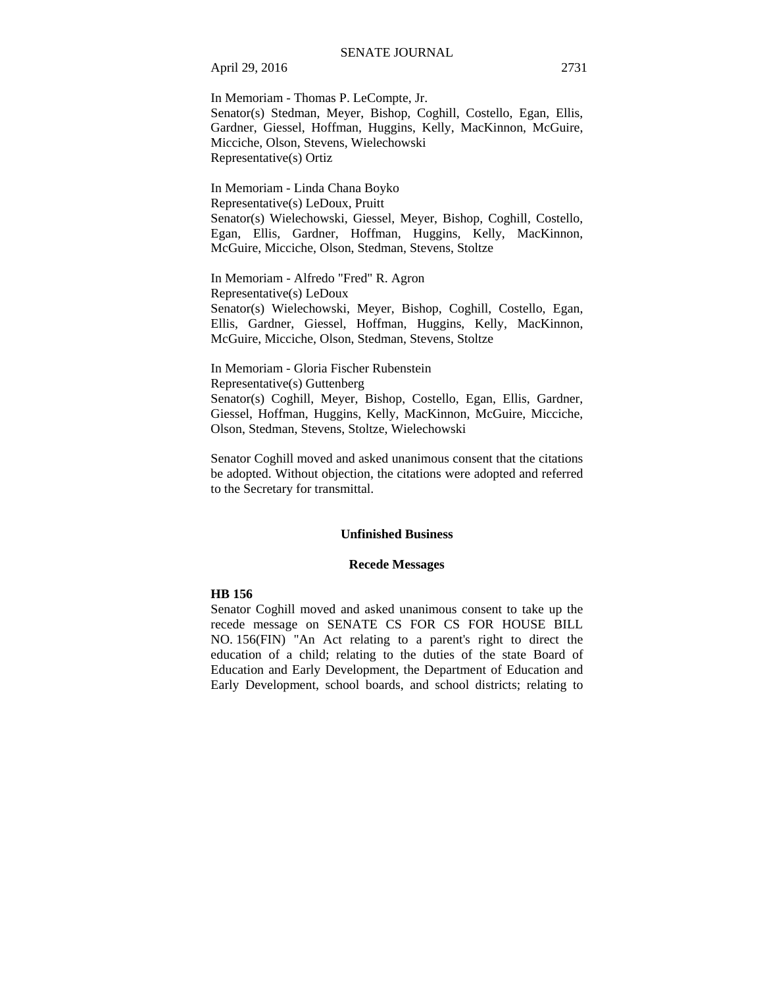April 29, 2016 2731

In Memoriam - Thomas P. LeCompte, Jr. Senator(s) Stedman, Meyer, Bishop, Coghill, Costello, Egan, Ellis, Gardner, Giessel, Hoffman, Huggins, Kelly, MacKinnon, McGuire, Micciche, Olson, Stevens, Wielechowski Representative(s) Ortiz

In Memoriam - Linda Chana Boyko Representative(s) LeDoux, Pruitt Senator(s) Wielechowski, Giessel, Meyer, Bishop, Coghill, Costello, Egan, Ellis, Gardner, Hoffman, Huggins, Kelly, MacKinnon, McGuire, Micciche, Olson, Stedman, Stevens, Stoltze

In Memoriam - Alfredo "Fred" R. Agron Representative(s) LeDoux Senator(s) Wielechowski, Meyer, Bishop, Coghill, Costello, Egan, Ellis, Gardner, Giessel, Hoffman, Huggins, Kelly, MacKinnon, McGuire, Micciche, Olson, Stedman, Stevens, Stoltze

In Memoriam - Gloria Fischer Rubenstein Representative(s) Guttenberg Senator(s) Coghill, Meyer, Bishop, Costello, Egan, Ellis, Gardner, Giessel, Hoffman, Huggins, Kelly, MacKinnon, McGuire, Micciche, Olson, Stedman, Stevens, Stoltze, Wielechowski

Senator Coghill moved and asked unanimous consent that the citations be adopted. Without objection, the citations were adopted and referred to the Secretary for transmittal.

### **Unfinished Business**

#### **Recede Messages**

#### **HB 156**

Senator Coghill moved and asked unanimous consent to take up the recede message on SENATE CS FOR CS FOR HOUSE BILL NO. 156(FIN) "An Act relating to a parent's right to direct the education of a child; relating to the duties of the state Board of Education and Early Development, the Department of Education and Early Development, school boards, and school districts; relating to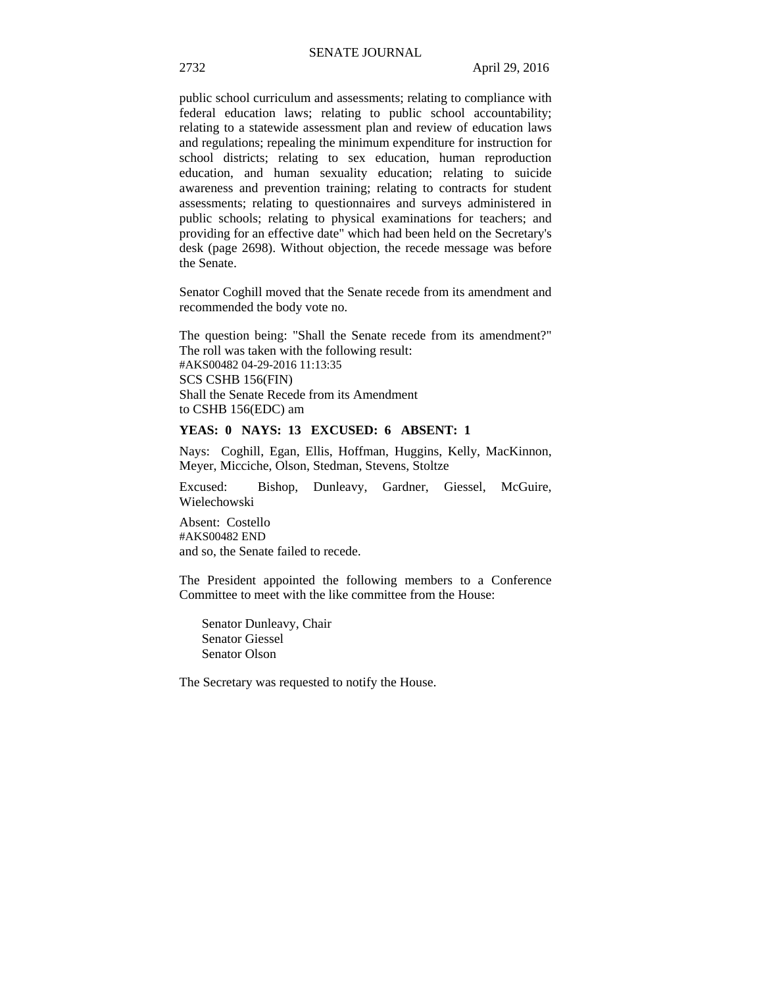public school curriculum and assessments; relating to compliance with federal education laws; relating to public school accountability; relating to a statewide assessment plan and review of education laws and regulations; repealing the minimum expenditure for instruction for school districts; relating to sex education, human reproduction education, and human sexuality education; relating to suicide awareness and prevention training; relating to contracts for student assessments; relating to questionnaires and surveys administered in public schools; relating to physical examinations for teachers; and providing for an effective date" which had been held on the Secretary's desk (page 2698). Without objection, the recede message was before the Senate.

Senator Coghill moved that the Senate recede from its amendment and recommended the body vote no.

The question being: "Shall the Senate recede from its amendment?" The roll was taken with the following result: #AKS00482 04-29-2016 11:13:35 SCS CSHB 156(FIN) Shall the Senate Recede from its Amendment to CSHB 156(EDC) am

### **YEAS: 0 NAYS: 13 EXCUSED: 6 ABSENT: 1**

Nays: Coghill, Egan, Ellis, Hoffman, Huggins, Kelly, MacKinnon, Meyer, Micciche, Olson, Stedman, Stevens, Stoltze

Excused: Bishop, Dunleavy, Gardner, Giessel, McGuire, Wielechowski

Absent: Costello #AKS00482 END and so, the Senate failed to recede.

The President appointed the following members to a Conference Committee to meet with the like committee from the House:

Senator Dunleavy, Chair Senator Giessel Senator Olson

The Secretary was requested to notify the House.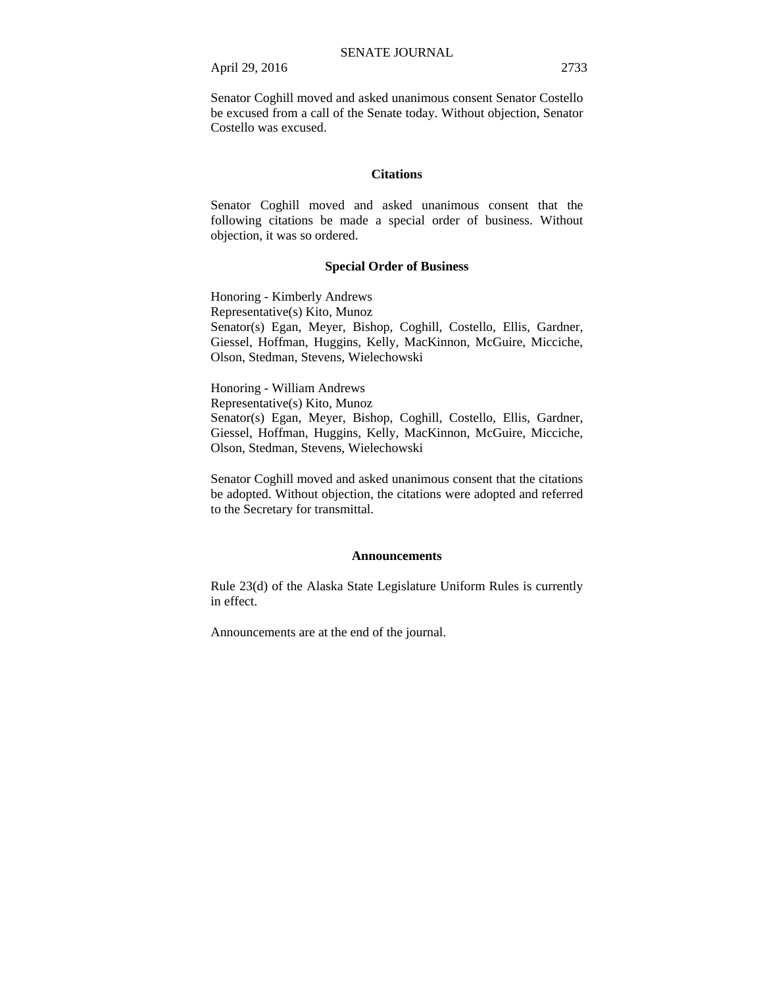April 29, 2016 2733

Senator Coghill moved and asked unanimous consent Senator Costello be excused from a call of the Senate today. Without objection, Senator Costello was excused.

#### **Citations**

Senator Coghill moved and asked unanimous consent that the following citations be made a special order of business. Without objection, it was so ordered.

### **Special Order of Business**

Honoring - Kimberly Andrews Representative(s) Kito, Munoz Senator(s) Egan, Meyer, Bishop, Coghill, Costello, Ellis, Gardner, Giessel, Hoffman, Huggins, Kelly, MacKinnon, McGuire, Micciche, Olson, Stedman, Stevens, Wielechowski

Honoring - William Andrews Representative(s) Kito, Munoz Senator(s) Egan, Meyer, Bishop, Coghill, Costello, Ellis, Gardner, Giessel, Hoffman, Huggins, Kelly, MacKinnon, McGuire, Micciche, Olson, Stedman, Stevens, Wielechowski

Senator Coghill moved and asked unanimous consent that the citations be adopted. Without objection, the citations were adopted and referred to the Secretary for transmittal.

#### **Announcements**

Rule 23(d) of the Alaska State Legislature Uniform Rules is currently in effect.

Announcements are at the end of the journal.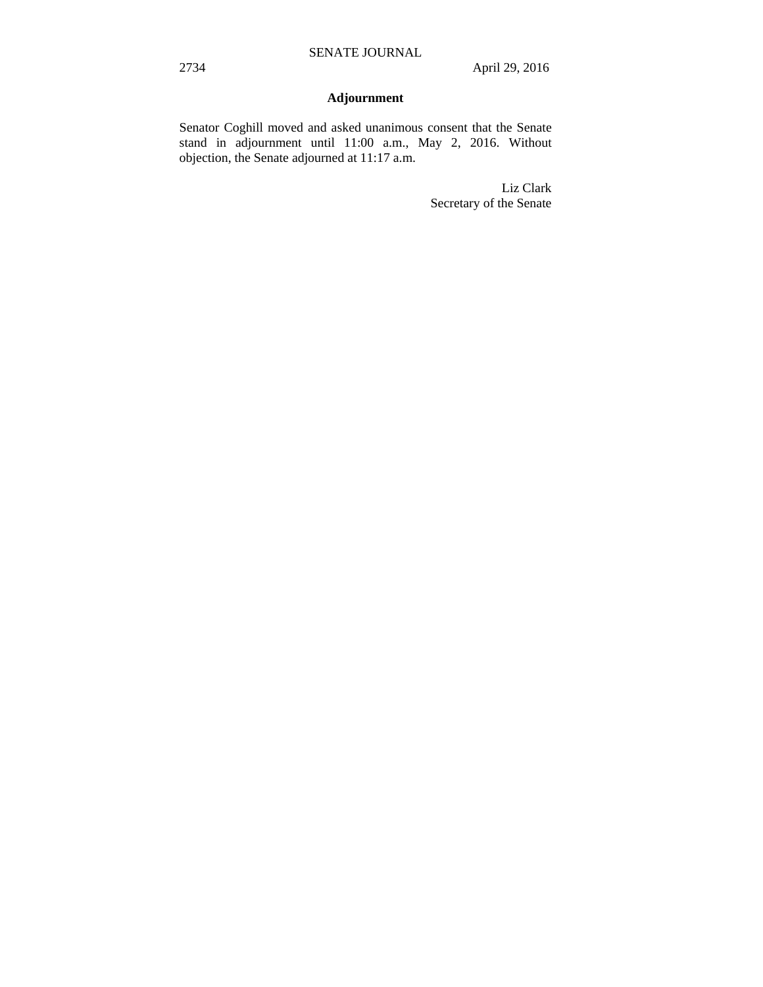# **Adjournment**

Senator Coghill moved and asked unanimous consent that the Senate stand in adjournment until 11:00 a.m., May 2, 2016. Without objection, the Senate adjourned at 11:17 a.m.

> Liz Clark Secretary of the Senate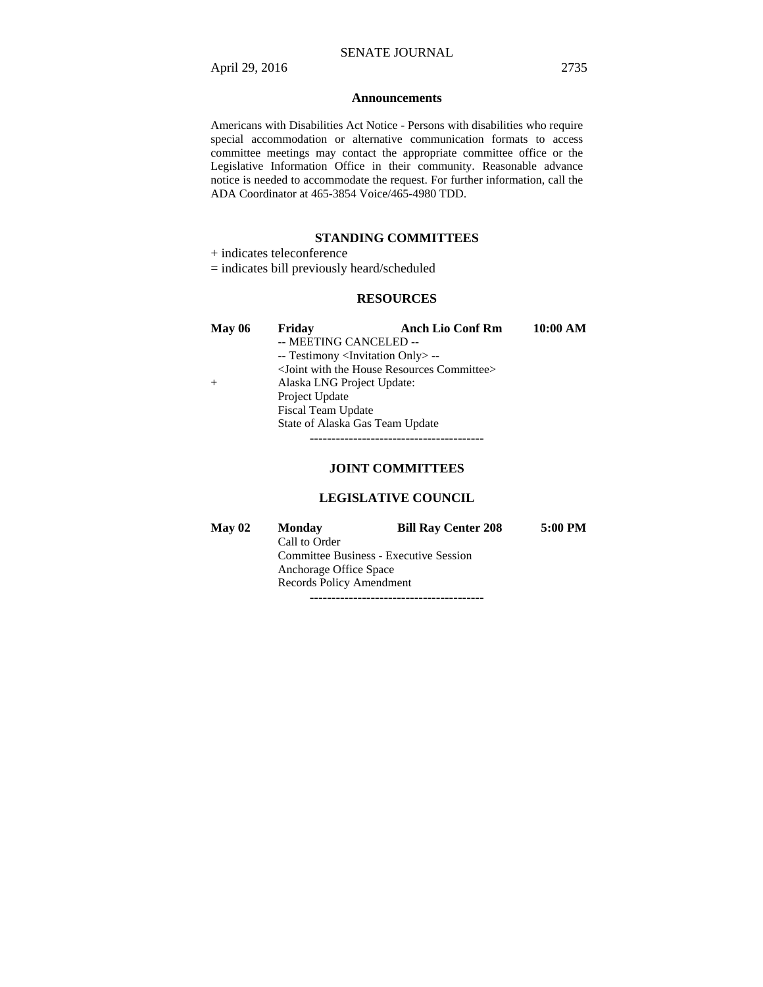### **Announcements**

Americans with Disabilities Act Notice - Persons with disabilities who require special accommodation or alternative communication formats to access committee meetings may contact the appropriate committee office or the Legislative Information Office in their community. Reasonable advance notice is needed to accommodate the request. For further information, call the ADA Coordinator at 465-3854 Voice/465-4980 TDD.

### **STANDING COMMITTEES**

+ indicates teleconference

= indicates bill previously heard/scheduled

### **RESOURCES**

| <b>May 06</b> | Friday                                            | <b>Anch Lio Conf Rm</b>                         | 10:00 AM |
|---------------|---------------------------------------------------|-------------------------------------------------|----------|
|               | -- MEETING CANCELED --                            |                                                 |          |
|               | -- Testimony <invitation only=""> --</invitation> |                                                 |          |
|               |                                                   | $\le$ Joint with the House Resources Committee> |          |
| $^{+}$        | Alaska LNG Project Update:                        |                                                 |          |
|               | Project Update                                    |                                                 |          |
|               | Fiscal Team Update                                |                                                 |          |
|               | State of Alaska Gas Team Update                   |                                                 |          |
|               |                                                   |                                                 |          |

### **JOINT COMMITTEES**

### **LEGISLATIVE COUNCIL**

| May 02 | <b>Monday</b>                                 | <b>Bill Ray Center 208</b> | 5:00 PM |  |
|--------|-----------------------------------------------|----------------------------|---------|--|
|        | Call to Order                                 |                            |         |  |
|        | <b>Committee Business - Executive Session</b> |                            |         |  |
|        | Anchorage Office Space                        |                            |         |  |
|        | Records Policy Amendment                      |                            |         |  |
|        |                                               |                            |         |  |

----------------------------------------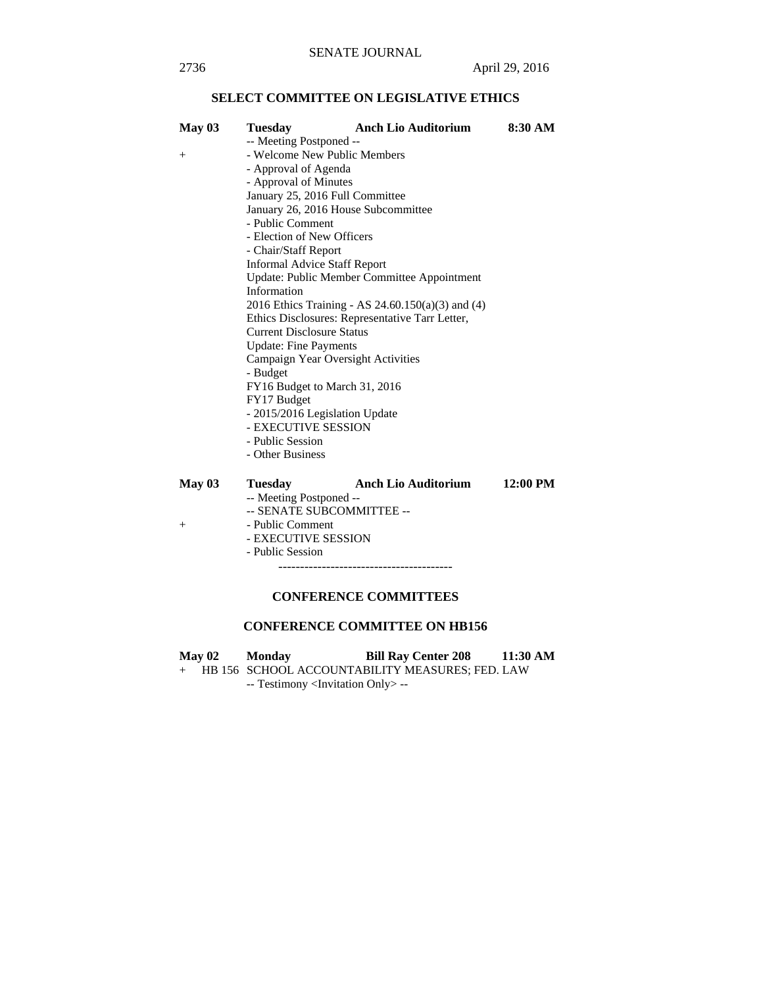# **SELECT COMMITTEE ON LEGISLATIVE ETHICS**

| May 03 | Tuesday                             | <b>Anch Lio Auditorium</b>                        | 8:30 AM            |  |
|--------|-------------------------------------|---------------------------------------------------|--------------------|--|
|        | -- Meeting Postponed --             |                                                   |                    |  |
| $^{+}$ | - Welcome New Public Members        |                                                   |                    |  |
|        | - Approval of Agenda                |                                                   |                    |  |
|        | - Approval of Minutes               |                                                   |                    |  |
|        | January 25, 2016 Full Committee     |                                                   |                    |  |
|        | January 26, 2016 House Subcommittee |                                                   |                    |  |
|        | - Public Comment                    |                                                   |                    |  |
|        | - Election of New Officers          |                                                   |                    |  |
|        | - Chair/Staff Report                |                                                   |                    |  |
|        | <b>Informal Advice Staff Report</b> |                                                   |                    |  |
|        |                                     | Update: Public Member Committee Appointment       |                    |  |
|        | Information                         |                                                   |                    |  |
|        |                                     | 2016 Ethics Training - AS 24.60.150(a)(3) and (4) |                    |  |
|        |                                     | Ethics Disclosures: Representative Tarr Letter,   |                    |  |
|        | <b>Current Disclosure Status</b>    |                                                   |                    |  |
|        | <b>Update: Fine Payments</b>        |                                                   |                    |  |
|        | Campaign Year Oversight Activities  |                                                   |                    |  |
|        | - Budget                            |                                                   |                    |  |
|        | FY16 Budget to March 31, 2016       |                                                   |                    |  |
|        | FY17 Budget                         |                                                   |                    |  |
|        | - 2015/2016 Legislation Update      |                                                   |                    |  |
|        | - EXECUTIVE SESSION                 |                                                   |                    |  |
|        | - Public Session                    |                                                   |                    |  |
|        | - Other Business                    |                                                   |                    |  |
|        |                                     |                                                   |                    |  |
| May 03 | <b>Tuesday</b>                      | <b>Anch Lio Auditorium</b>                        | $12:00 \text{ PM}$ |  |
|        | -- Meeting Postponed --             |                                                   |                    |  |
|        | -- SENATE SUBCOMMITTEE --           |                                                   |                    |  |
| $^{+}$ | - Public Comment                    |                                                   |                    |  |
|        | - EXECUTIVE SESSION                 |                                                   |                    |  |
|        | - Public Session                    |                                                   |                    |  |

----------------------------------------

## **CONFERENCE COMMITTEES**

## **CONFERENCE COMMITTEE ON HB156**

**May 02 Monday Bill Ray Center 208 11:30 AM**  + HB 156 SCHOOL ACCOUNTABILITY MEASURES; FED. LAW -- Testimony <Invitation Only> --